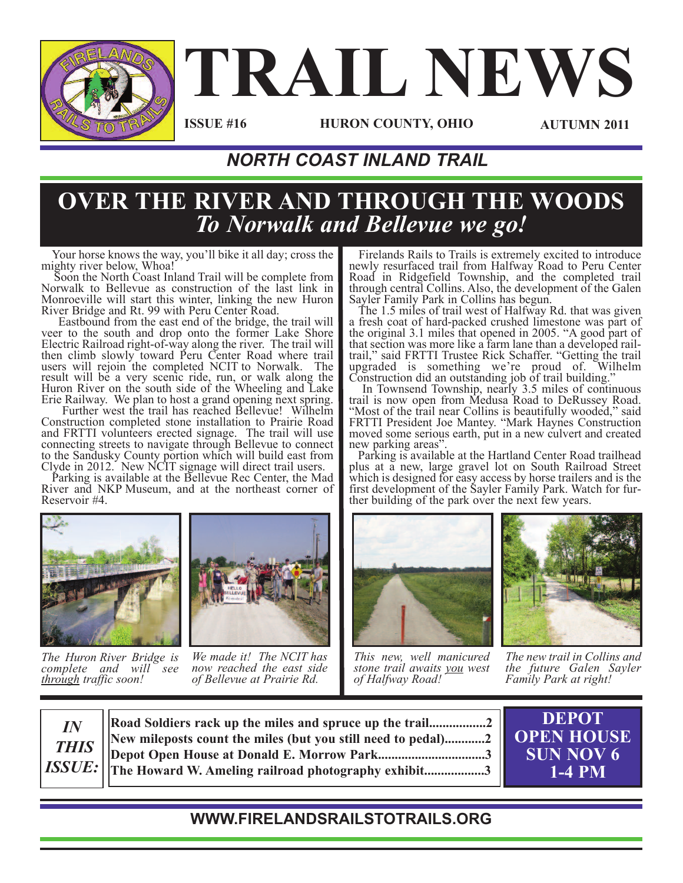

# **TRAIL NEWS**

**ISSUE #16**

**HURON COUNTY, OHIO AUTUMN 2011**

## *NORTH COAST INLAND TRAIL*

## **OVER THE RIVER AND THROUGH THE WOODS** *To Norwalk and Bellevue we go!*

Your horse knows the way, you'll bike it all day; cross the mighty river below, Whoa!

Soon the North Coast Inland Trail will be complete from Norwalk to Bellevue as construction of the last link in Monroeville will start this winter, linking the new Huron

River Bridge and Rt. <sup>99</sup> with Peru Center Road. Eastbound from the east end of the bridge, the trail will veer to the south and drop onto the former Lake Shore Electric Railroad right-of-way along the river. The trail will then climb slowly toward Peru Center Road where trail users will rejoin the completed NCIT to Norwalk. The result will be a very scenic ride, run, or walk along the Huron River on the south side of the Wheeling and Lake

Erie Railway. We plan to host <sup>a</sup> grand opening next spring. Further west the trail has reached Bellevue! Wilhelm Construction completed stone installation to Prairie Road and FRTTI volunteers erected signage. The trail will use connecting streets to navigate through Bellevue to connect to the Sandusky County portion which will build east from Clyde in 2012. New NCIT signage will direct trail users. Parking is available at the Bellevue Rec Center, the Mad

River and NKP Museum, and at the northeast corner of Reservoir #4.



*The Huron River Bridge is complete and will see through traffic soon!*



*We made it! The NCIT has now reached the east side of Bellevue at Prairie Rd.*

Firelands Rails to Trails is extremely excited to introduce newly resurfaced trail from Halfway Road to Peru Center Road in Ridgefield Township, and the completed trail through central Collins. Also, the development of the Galen

Sayler Family Park in Collins has begun. The 1.5 miles of trail west of Halfway Rd. that was given a fresh coat of hard-packed crushed limestone was part of the original 3.1 miles that opened in 2005. "A good part of that section was more like <sup>a</sup> farm lane than <sup>a</sup> developed rail- trail," said FRTTI Trustee Rick Schaffer. "Getting the trail upgraded is something we're proud of. Wilhelm Construction did an outstanding job of trail building." In Townsend Township, nearly 3.5 miles of continuous

trail is now open from Medusa Road to DeRussey Road. "Most of the trail near Collins is beautifully wooded," said FRTTI President Joe Mantey. "Mark Haynes Construction moved some serious earth, put in a new culvert and created

new parking areas".<br>Parking is available at the Hartland Center Road trailhead plus at a new, large gravel lot on South Railroad Street which is designed for easy access by horse trailers and is the first development of the Sayler Family Park. Watch for fur- ther building of the park over the next few years.



*This new, well manicured stone trail awaits you west of Halfway Road!*

*The new trail in Collins and the future Galen Sayler Family Park at right!*



**Road Soldiers rack up the miles and spruce up the trail.................2 New mileposts count the miles (but you still need to pedal)............2 Depot Open House at Donald E. Morrow Park................................3 The Howard W. Ameling railroad photography exhibit..................3**



### **WWW.FIRELANDSRAILSTOTRAILS.ORG**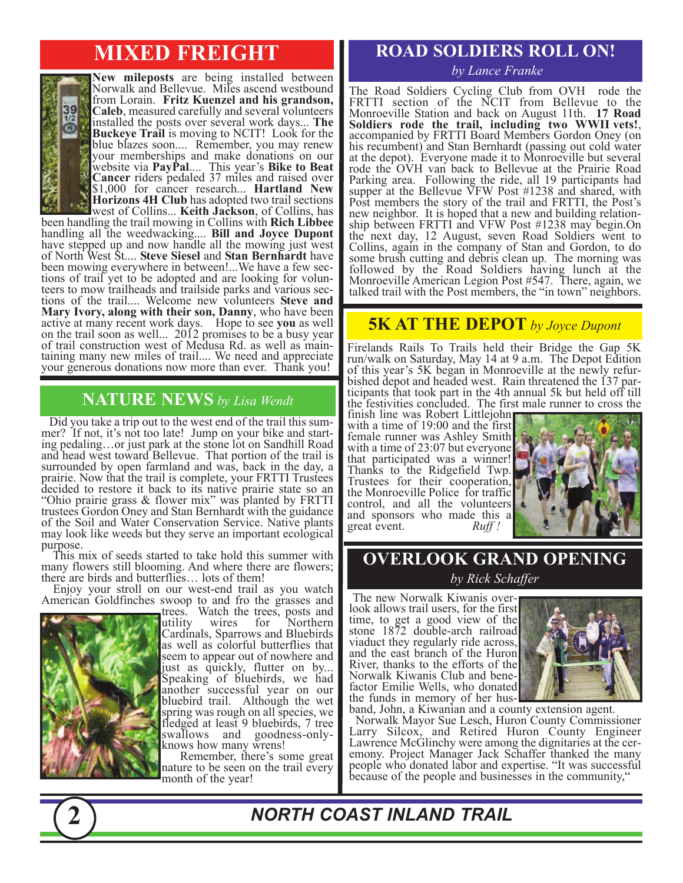## **MIXED FREIGHT**



**New mileposts** are being installed between Norwalk and Bellevue. Miles ascend westbound from Lorain. **Fritz Kuenzel and his grandson, Caleb**, measured carefully and several volunteers installed the posts over several work days... **The Buckeye Trail** is moving to NCIT! Look for the blue blazes soon.... Remember, you may renew your memberships and make donations on our website via **PayPal**.... This year's **Bike to Beat Cancer** riders pedaled 37 miles and raised over \$1,000 for cancer research... **Hartland New Horizons 4H Club** has adopted two trail sections

west of Collins... **Keith Jackson**, of Collins, has been handling the trail mowing in Collins with **Rich Libbee** handling all the weedwacking.... **Bill and Joyce Dupont** have stepped up and now handle all the mowing just west of North West St.... **Steve Siesel** and **Stan Bernhardt** have been mowing everywhere in between!...We have a few sections of trail yet to be adopted and are looking for volunteers to mow trailheads and trailside parks and various sections of the trail.... Welcome new volunteers **Stev Mary Ivory, along with their son, Danny**, who have been active at many recent work days. Hope to see **you** as well on the trail soon as well... 2012 promises to be a busy year of trail construction west of Medusa Rd. as well as main- taining many new miles of trail.... We need and appreciate your generous donations now more than ever. Thank you!

#### **NATURE NEWS** *by Lisa Wendt*

Did you take a trip out to the west end of the trail this summer? If not, it's not too late! Jump on your bike and start-<br>ing pedaling…or just park at the stone lot on Sandhill Road and head west toward Bellevue. That portion of the trail is surrounded by open farmland and was, back in the day, a prairie. Now that the trail is complete, your FRTTI Trustees decided to restore it back to its native prairie state so an "Ohio prairie grass & flower mix" was planted by FRTTI trustees Gordon Oney and Stan Bernhardt with the guidance of the Soil and Water Conservation Service. Native plants may look like weeds but they serve an important ecological purpose.

This mix of seeds started to take hold this summer with many flowers still blooming. And where there are flowers; there are birds and butterflies… lots of them!

Enjoy your stroll on our west-end trail as you watch American Goldfinches swoop to and fro the grasses and



trees. Watch the trees, posts and utility wires for Northern Cardinals, Sparrows and Bluebirds as well as colorful butterflies that seem to appear out of nowhere and<br>just as quickly, flutter on by... Speaking of bluebirds, we had another successful year on our bluebird trail. Although the wet spring was rough on all species, we fledged at least 9 bluebirds, 7 tree swallows and goodness-only- knows how many wrens!

Remember, there's some great nature to be seen on the trail every month of the year!

## **ROAD SOLDIERS ROLL ON!**

#### *by Lance Franke*

The Road Soldiers Cycling Club from OVH rode the FRTTI section of the NCIT from Bellevue to the Monroeville Station and back on August 11th. **17 Road Soldiers rode the trail, including two WWII vets!**, accompanied by FRTTI Board Members Gordon Oney (on his recumbent) and Stan Bernhardt (passing out cold water at the depot). Everyone made it to Monroeville but several rode the OVH van back to Bellevue at the Prairie Road Parking area. Following the ride, all 19 participants had supper at the Bellevue VFW Post #1238 and shared, with Post members the story of the trail and FRTTI, the Post's ship between FRTTI and VFW Post #1238 may begin.On the next day, 12 August, seven Road Soldiers went to Collins, again in the company of Stan and Gordon, to do some brush cutting and debris clean up. The morning was followed by the Road Soldiers having lunch at the Monroeville American Legion Post #547. There, again, we talked trail with the Post members, the "in town" neighbors.

#### **5K AT THE DEPOT** *by Joyce Dupont*

Firelands Rails To Trails held their Bridge the Gap 5K run/walk on Saturday, May 14 at 9 a.m. The Depot Edition bished depot and headed west. Rain threatened the 137 par-<br>ticipants that took part in the 4th annual 5k but held off till the festivities concluded. The first male runner to cross the

finish line was Robert Littlejohn with a time of 19:00 and the first female runner was Ashley Smith with a time of 23:07 but everyone that participated was a winner! Trustees for their cooperation, the Monroeville Police for traffic control, and all the volunteers and sponsors who made this a great event.  $Ruff$ great event.



**OVERLOOK GRAND OPENING** *by Rick Schaffer*

The new Norwalk Kiwanis over- look allows trail users, for the first time, to get a good view of the stone 1872 double-arch railroad viaduct they regularly ride across, and the east branch of the Huron River, thanks to the efforts of the<br>Norwalk Kiwanis Club and benefactor Emilie Wells, who donated<br>the funds in memory of her hus-



band, John, a Kiwanian and a county extension agent.<br>Norwalk Mayor Sue Lesch, Huron County Commissioner

Larry Silcox, and Retired Huron County Engineer Lawrence McGlinchy were among the dignitaries at the cer- emony. Project Manager Jack Schaffer thanked the many emony. Project Manager Jack Schaffer thanked the many people who donated labor and expertise. "It was successful because of the people and businesses in the community,



*NORTH COAST INLAND TRAIL*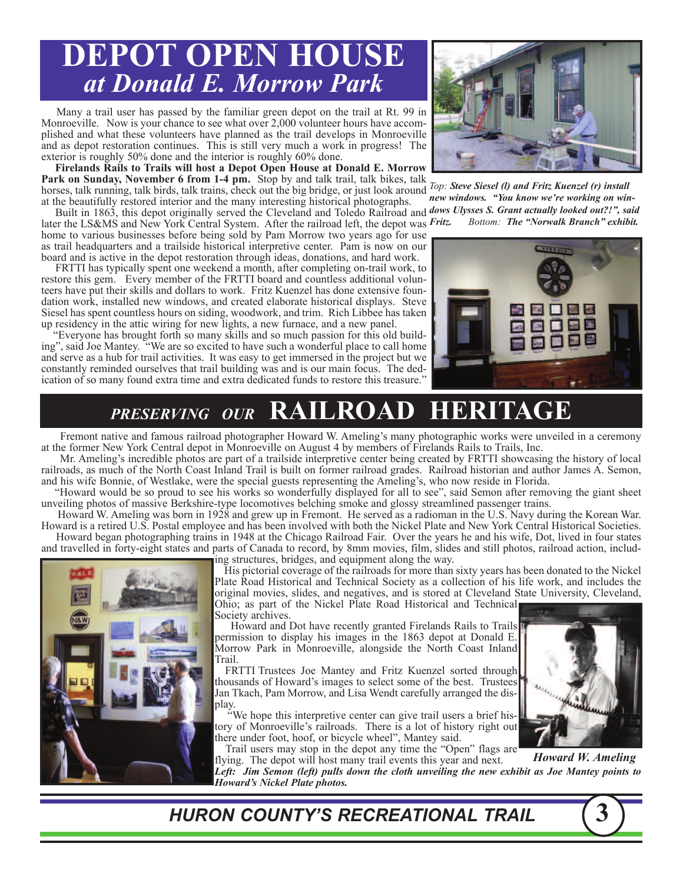# **DEPOT OPEN HOUSE** *at Donald E. Morrow Park*

Many a trail user has passed by the familiar green depot on the trail at Rt. 99 in Monroeville. Now is your chance to see what over 2,000 volunteer hours have accomplished and what these volunteers have planned as the trail develops in Monroeville and as depot restoration continues. This is still very much a work in progress! The exterior is roughly 50% done and the interior is roughly 60% done.

**Firelands Rails to Trails will host a Depot Open House at Donald E. Morrow Park on Sunday, November 6 from 1-4 pm.** Stop by and talk trail, talk bikes, talk horses, talk running, talk birds, talk trains, check out the big bridge, or just look around at the beautifully restored interior and the many interesting historical photographs.

Built in 1863, this depot originally served the Cleveland and Toledo Railroad and *dows Ulysses S. Grant actually looked out?!", said* later the LS&MS and New York Central System. After the railroad left, the depot was Fritz. home to various businesses before being sold by Pam Morrow two years ago for use as trail headquarters and a trailside historical interpretive center. Pam is now on our board and is active in the depot restoration through ideas, donations, and hard work.

FRTTI has typically spent one weekend a month, after completing on-trail work, to restore this gem. Every member of the FRTTI board and countless additional volunteers have put their skills and dollars to work. Fritz Kuenzel has done extensive foundation work, installed new windows, and created elaborate historical displays. Steve Siesel has spent countless hours on siding, woodwork, and trim. Rich Libbee has taken up residency in the attic wiring for new lights, a new furnace, and a new panel.

"Everyone has brought forth so many skills and so much passion for this old building", said Joe Mantey. "We are so excited to have such a wonderful place to call home and serve as a hub for trail activities. It was easy to get immersed in the project but we constantly reminded ourselves that trail building was and is our main focus. The dedication of so many found extra time and extra dedicated funds to restore this treasure."



*Top: Steve Siesel (l) and Fritz Kuenzel (r) install new windows. "You know we're working on win-Fritz. Bottom: The "Norwalk Branch" exhibit.*



# *PRESERVING OUR* **RAILROAD HERITAGE**

Fremont native and famous railroad photographer Howard W. Ameling's many photographic works were unveiled in a ceremony at the former New York Central depot in Monroeville on August 4 by members of Firelands Rails to Trails, Inc.

Mr. Ameling's incredible photos are part of a trailside interpretive center being created by FRTTI showcasing the history of local railroads, as much of the North Coast Inland Trail is built on former railroad grades. Railroad historian and author James A. Semon, and his wife Bonnie, of Westlake, were the special guests representing the Ameling's, who now reside in Florida.

"Howard would be so proud to see his works so wonderfully displayed for all to see", said Semon after removing the giant sheet unveiling photos of massive Berkshire-type locomotives belching smoke and glossy streamlined passenger trains.

Howard W. Ameling was born in 1928 and grew up in Fremont. He served as a radioman in the U.S. Navy during the Korean War. Howard is a retired U.S. Postal employee and has been involved with both the Nickel Plate and New York Central Historical Societies. Howard began photographing trains in 1948 at the Chicago Railroad Fair. Over the years he and his wife, Dot, lived in four states and travelled in forty-eight states and parts of Canada to record, by 8mm movies, film, slides and still photos, railroad action, including structures, bridges, and equipment along the way.



His pictorial coverage of the railroads for more than sixty years has been donated to the Nickel Plate Road Historical and Technical Society as a collection of his life work, and includes the original movies, slides, and negatives, and is stored at Cleveland State University, Cleveland, Ohio; as part of the Nickel Plate Road Historical and Technical

Society archives. Howard and Dot have recently granted Firelands Rails to Trails permission to display his images in the 1863 depot at Donald E. Morrow Park in Monroeville, alongside the North Coast Inland Trail.

FRTTI Trustees Joe Mantey and Fritz Kuenzel sorted through thousands of Howard's images to select some of the best. Trustees Jan Tkach, Pam Morrow, and Lisa Wendt carefully arranged the dis- play.

"We hope this interpretive center can give trail users <sup>a</sup> brief his- tory of Monroeville's railroads. There is <sup>a</sup> lot of history right out there under foot, hoof, or bicycle wheel", Mantey said. Trail users may stop in the depot any time the "Open" flags are

flying. The depot will host many trail events this year and next.

*Left: Jim Semon (left) pulls down the cloth unveiling the new exhibit as Joe Mantey points to Howard's Nickel Plate photos. Howard W. Ameling*

*HURON COUNTY'S RECREATIONAL TRAIL* **3**